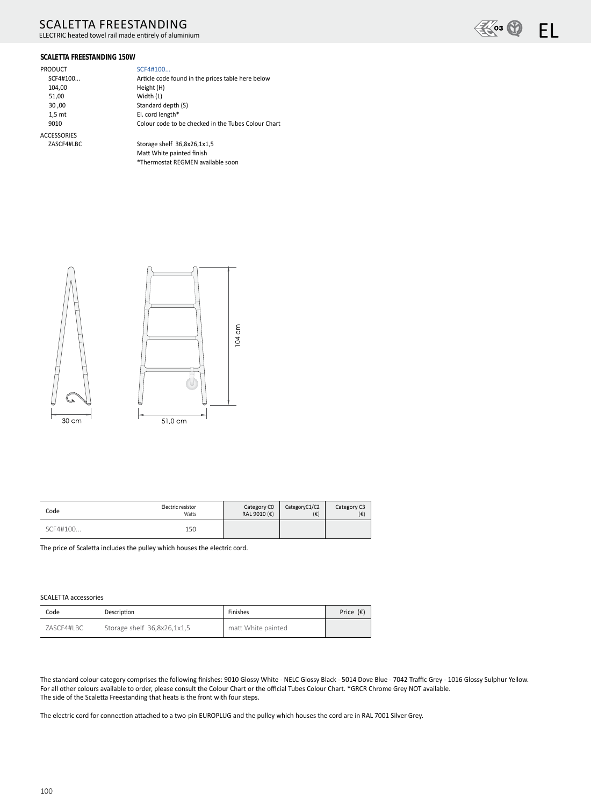# **SCALETTA FREESTANDING**

ELECTRIC heated towel rail made entirely of aluminium



## **SCALETTA FREESTANDING 150W**

| PRODUCT            | SCF4#100                                            |
|--------------------|-----------------------------------------------------|
|                    |                                                     |
| SCF4#100           | Article code found in the prices table here below   |
| 104,00             | Height (H)                                          |
| 51,00              | Width (L)                                           |
| 30,00              | Standard depth (S)                                  |
| 1.5 <sub>m</sub>   | El. cord length*                                    |
| 9010               | Colour code to be checked in the Tubes Colour Chart |
| <b>ACCESSORIES</b> |                                                     |
| ZASCF4#LBC         | Storage shelf 36.8x26.1x1.5                         |

Storage shelf 36,8x26,1x1,5 Matt White painted finish \*Thermostat REGMEN available soon



| Code     | Electric resistor | Category CO           | CategoryC1/C2 | Category C3 |
|----------|-------------------|-----------------------|---------------|-------------|
|          | Watts             | RAL 9010 $(\epsilon)$ | $(\epsilon)$  | (€)         |
| SCF4#100 | 150               |                       |               |             |

The price of Scaletta includes the pulley which houses the electric cord.

### **SCALETTA accessories**

| Code       | Description                 | Finishes           | Price $(\epsilon)$ |
|------------|-----------------------------|--------------------|--------------------|
| ZASCF4#LBC | Storage shelf 36,8x26,1x1,5 | matt White painted |                    |

The standard colour category comprises the following finishes: 9010 Glossy White - NELC Glossy Black - 5014 Dove Blue - 7042 Traffic Grey - 1016 Glossy Sulphur Yellow. For all other colours available to order, please consult the Colour Chart or the official Tubes Colour Chart. \*GRCR Chrome Grey NOT available. The side of the Scaletta Freestanding that heats is the front with four steps.

The electric cord for connection attached to a two-pin EUROPLUG and the pulley which houses the cord are in RAL 7001 Silver Grey.